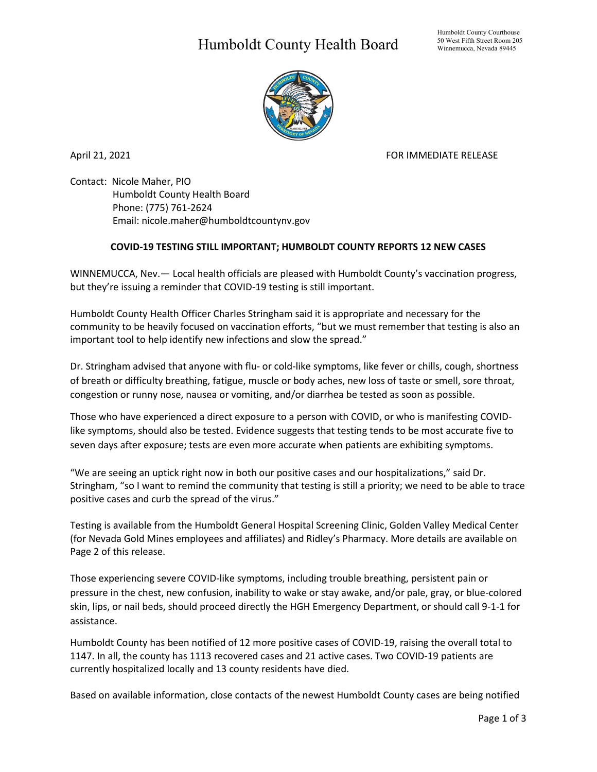## Humboldt County Health Board



April 21, 2021 **FOR IMMEDIATE RELEASE** 

Contact: Nicole Maher, PIO Humboldt County Health Board Phone: (775) 761-2624 Email: nicole.maher@humboldtcountynv.gov

## **COVID-19 TESTING STILL IMPORTANT; HUMBOLDT COUNTY REPORTS 12 NEW CASES**

WINNEMUCCA, Nev.— Local health officials are pleased with Humboldt County's vaccination progress, but they're issuing a reminder that COVID-19 testing is still important.

Humboldt County Health Officer Charles Stringham said it is appropriate and necessary for the community to be heavily focused on vaccination efforts, "but we must remember that testing is also an important tool to help identify new infections and slow the spread."

Dr. Stringham advised that anyone with flu- or cold-like symptoms, like fever or chills, cough, shortness of breath or difficulty breathing, fatigue, muscle or body aches, new loss of taste or smell, sore throat, congestion or runny nose, nausea or vomiting, and/or diarrhea be tested as soon as possible.

Those who have experienced a direct exposure to a person with COVID, or who is manifesting COVIDlike symptoms, should also be tested. Evidence suggests that testing tends to be most accurate five to seven days after exposure; tests are even more accurate when patients are exhibiting symptoms.

"We are seeing an uptick right now in both our positive cases and our hospitalizations," said Dr. Stringham, "so I want to remind the community that testing is still a priority; we need to be able to trace positive cases and curb the spread of the virus."

Testing is available from the Humboldt General Hospital Screening Clinic, Golden Valley Medical Center (for Nevada Gold Mines employees and affiliates) and Ridley's Pharmacy. More details are available on Page 2 of this release.

Those experiencing severe COVID-like symptoms, including trouble breathing, persistent pain or pressure in the chest, new confusion, inability to wake or stay awake, and/or pale, gray, or blue-colored skin, lips, or nail beds, should proceed directly the HGH Emergency Department, or should call 9-1-1 for assistance.

Humboldt County has been notified of 12 more positive cases of COVID-19, raising the overall total to 1147. In all, the county has 1113 recovered cases and 21 active cases. Two COVID-19 patients are currently hospitalized locally and 13 county residents have died.

Based on available information, close contacts of the newest Humboldt County cases are being notified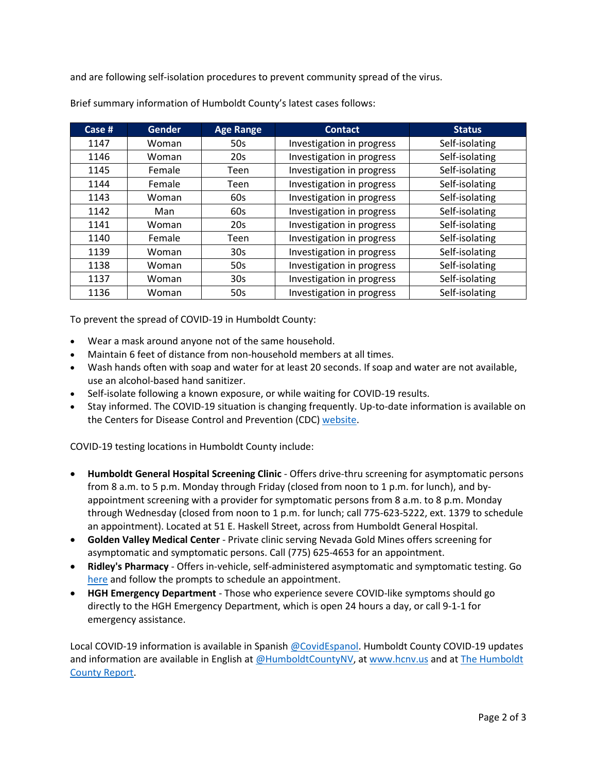and are following self-isolation procedures to prevent community spread of the virus.

| Case $#$ | <b>Gender</b> | <b>Age Range</b> | <b>Contact</b>            | <b>Status</b>  |
|----------|---------------|------------------|---------------------------|----------------|
| 1147     | Woman         | 50s              | Investigation in progress | Self-isolating |
| 1146     | Woman         | 20s              | Investigation in progress | Self-isolating |
| 1145     | Female        | Teen             | Investigation in progress | Self-isolating |
| 1144     | Female        | Teen             | Investigation in progress | Self-isolating |
| 1143     | Woman         | 60s              | Investigation in progress | Self-isolating |
| 1142     | Man           | 60s              | Investigation in progress | Self-isolating |
| 1141     | Woman         | 20s              | Investigation in progress | Self-isolating |
| 1140     | Female        | Teen             | Investigation in progress | Self-isolating |
| 1139     | Woman         | 30 <sub>s</sub>  | Investigation in progress | Self-isolating |
| 1138     | Woman         | 50s              | Investigation in progress | Self-isolating |
| 1137     | Woman         | 30 <sub>s</sub>  | Investigation in progress | Self-isolating |
| 1136     | Woman         | 50s              | Investigation in progress | Self-isolating |

Brief summary information of Humboldt County's latest cases follows:

To prevent the spread of COVID-19 in Humboldt County:

- Wear a mask around anyone not of the same household.
- Maintain 6 feet of distance from non-household members at all times.
- Wash hands often with soap and water for at least 20 seconds. If soap and water are not available, use an alcohol-based hand sanitizer.
- Self-isolate following a known exposure, or while waiting for COVID-19 results.
- Stay informed. The COVID-19 situation is changing frequently. Up-to-date information is available on the Centers for Disease Control and Prevention (CDC) [website.](http://www.cdc.gov/coronavirus/2019-ncov/index.html)

COVID-19 testing locations in Humboldt County include:

- **Humboldt General Hospital Screening Clinic** Offers drive-thru screening for asymptomatic persons from 8 a.m. to 5 p.m. Monday through Friday (closed from noon to 1 p.m. for lunch), and byappointment screening with a provider for symptomatic persons from 8 a.m. to 8 p.m. Monday through Wednesday (closed from noon to 1 p.m. for lunch; call 775-623-5222, ext. 1379 to schedule an appointment). Located at 51 E. Haskell Street, across from Humboldt General Hospital.
- **Golden Valley Medical Center** Private clinic serving Nevada Gold Mines offers screening for asymptomatic and symptomatic persons. Call (775) 625-4653 for an appointment.
- **Ridley's Pharmacy** Offers in-vehicle, self-administered asymptomatic and symptomatic testing. Go [here](https://www.doineedacovid19test.com/Winnemucca_NV_1098.html) and follow the prompts to schedule an appointment.
- **HGH Emergency Department**  Those who experience severe COVID-like symptoms should go directly to the HGH Emergency Department, which is open 24 hours a day, or call 9-1-1 for emergency assistance.

Local COVID-19 information is available in Spanish [@CovidEspanol.](https://www.facebook.com/CovidEspanol) Humboldt County COVID-19 updates and information are available in English at [@HumboldtCountyNV,](https://www.facebook.com/humboldtcountynv) at [www.hcnv.us](http://www.hcnv.us/) and at The Humboldt [County Report.](https://spark.adobe.com/page/llU1h2xbgNKeR/)